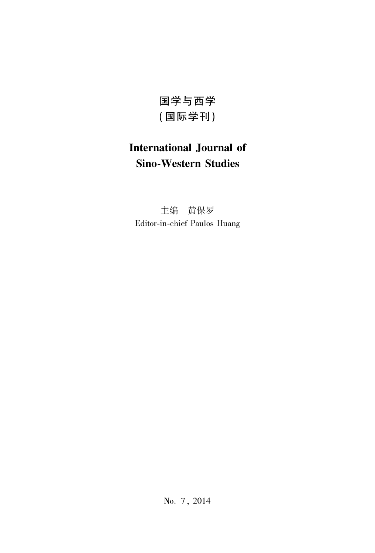国学与西学 (国际学刊)

## **International Journal of Sino-Western Studies**

主编 黄保罗 Editor-in-chief Paulos Huang

No. 7, 2014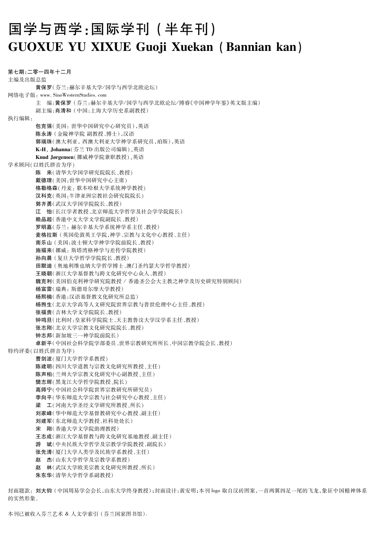## 国学与西学:国际学刊(半年刊) **GUOXUE YU XIXUE Guoji Xuekan (Bannian kan)**

第七期:二零一四年十二月 主编及出版总监 黄保罗(芬兰:赫尔辛基大学/国学与西学北欧论坛) 网络电子版: www. SinoWesternStudies. com 主 编:黄保罗(芬兰:赫尔辛基大学/国学与西学北欧论坛/博睿《中国神学年鉴》英文版主编) 副主编:肖清和(中国:上海大学历史系副教授) 执行编辑: 包克强(美国:世华中国研究中心研究员),英语 陈永涛 (金陵神学院 副教授、博士),汉语 郭瑞珠(澳大利亚,西澳大利亚大学神学系研究员,珀斯),英语 K-H, Johanna(芬兰 TD 出版公司编辑), 英语 Knud Jørgensen (挪威神学院兼职教授),英语 学术顾问(以姓氏拼音为序) 陈 来(清华大学国学研究院院长、教授) 戴德理(美国:世华中国研究中心主席) 格勒格森(丹麦:歌本哈根大学系统神学教授) 汉科克(英国:牛津亚洲宗教社会研究院院长) 郭齐勇(武汉大学国学院院长、教授) 江 怡(长江学者教授、北京师范大学哲学及社会学学院院长) 赖品超(香港中文大学文学院副院长、教授) 罗明嘉(芬兰:赫尔辛基大学系统神学系主任、教授) 麦格拉斯(英国伦敦英王学院,神学、宗教与文化中心教授、主任) 南乐山 (美国:波士顿大学神学学院前院长、教授) 施福来(挪威: 斯塔湾格神学与差传学院教授) 孙向晨 (复旦大学哲学学院院长、教授) 田默迪 (奥地利维也纳大学哲学博士、澳门圣约瑟大学哲学教授) 王晓朝(浙江大学基督教与跨文化研究中心众人、教授) 魏克利(美国伯克利神学研究院教授 / 香港圣公会大主教之神学及历史研究特别顾问) 杨富雷(瑞典: 斯德哥尔摩大学教授) 杨熙楠(香港:汉语基督教文化研究所总监) 杨煦生(北京大学高等人文研究院世界宗教与普世伦理中心主任、教授) 张福贵(吉林大学文学院院长、教授) 钟鸣旦(比利时:皇家科学院院士、天主教鲁汶大学汉学系主任、教授) 张志刚(北京大学宗教文化研究院院长、教授) 钟志邦(新加坡三一神学院前院长) 卓新平(中国社会科学院学部委员、世界宗教研究所所长、中国宗教学院会长、教授) 特约评委(以姓氏拼音为序) 曹剑波(厦门大学哲学系教授) 陈建明(四川大学道教与宗教文化研究所教授、主任) 陈声柏(兰州大学宗教文化研究中心副教授、主任) 攀志耀(黑龙江大学哲学院教授、院长) 高师宁(中国社会科学院世界宗教研究所研究员) 李向平(华东师范大学宗教与社会研究中心教授、主任) 梁 工(河南大学圣经文学研究所教授、所长) 刘家峰(华中师范大学基督教研究中心教授、副主任) 刘建军(东北师范大学教授、社科处处长) 宋 刚(香港大学文学院助理教授) 王志成(浙江大学基督教与跨文化研究基地教授、副主任) 游 斌(中央民族大学哲学及宗教学学院教授、副院长) 张先清(厦门大学人类学及民族学系教授、主任) 赵 杰(山东大学哲学及宗教学系教授) 赵 林(武汉大学欧美宗教文化研究所教授、所长) 朱东华(清华大学哲学系副教授)

封面题款: 刘大钧(中国周易学会会长,山东大学终身教授):封面设计:黄安明;本刊 logo 取自汉砖图案,一首两翼四足一尾的飞龙,象征中国精神体系 的实然形象。

本刊已被收入芬兰艺术 & 人文学索引(芬兰国家图书馆).